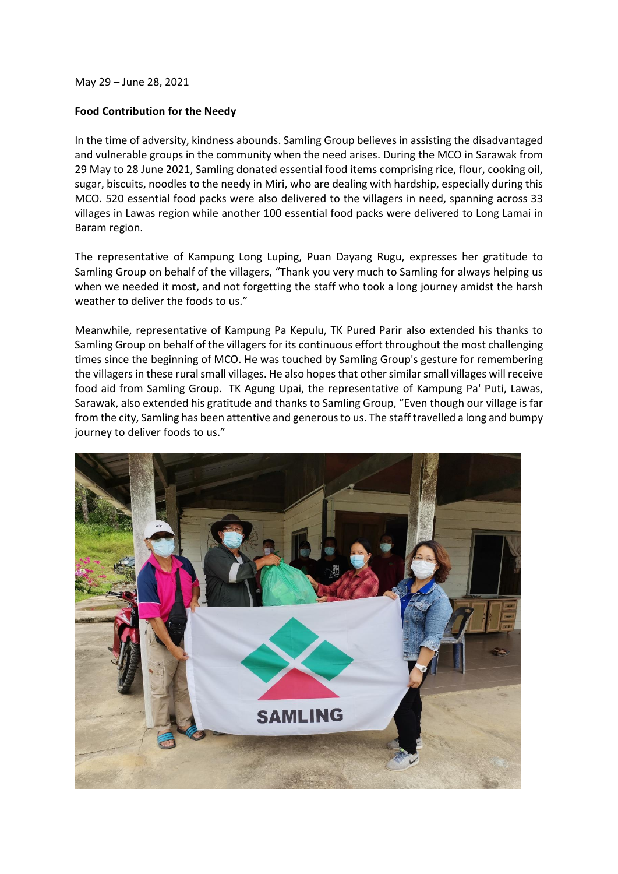May 29 – June 28, 2021

## **Food Contribution for the Needy**

In the time of adversity, kindness abounds. Samling Group believes in assisting the disadvantaged and vulnerable groups in the community when the need arises. During the MCO in Sarawak from 29 May to 28 June 2021, Samling donated essential food items comprising rice, flour, cooking oil, sugar, biscuits, noodles to the needy in Miri, who are dealing with hardship, especially during this MCO. 520 essential food packs were also delivered to the villagers in need, spanning across 33 villages in Lawas region while another 100 essential food packs were delivered to Long Lamai in Baram region.

The representative of Kampung Long Luping, Puan Dayang Rugu, expresses her gratitude to Samling Group on behalf of the villagers, "Thank you very much to Samling for always helping us when we needed it most, and not forgetting the staff who took a long journey amidst the harsh weather to deliver the foods to us."

Meanwhile, representative of Kampung Pa Kepulu, TK Pured Parir also extended his thanks to Samling Group on behalf of the villagers for its continuous effort throughout the most challenging times since the beginning of MCO. He was touched by Samling Group's gesture for remembering the villagers in these rural small villages. He also hopes that other similar small villages will receive food aid from Samling Group. TK Agung Upai, the representative of Kampung Pa' Puti, Lawas, Sarawak, also extended his gratitude and thanks to Samling Group, "Even though our village is far from the city, Samling has been attentive and generous to us. The staff travelled a long and bumpy journey to deliver foods to us."